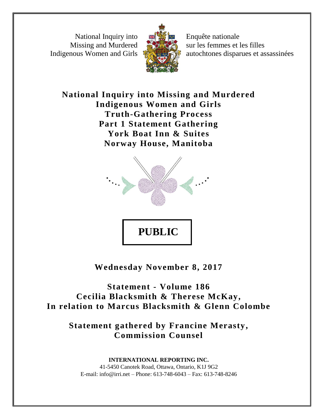National Inquiry into Missing and Murdered Indigenous Women and Girls



Enquête nationale sur les femmes et les filles autochtones disparues et assassinées

**National Inquiry into Missing and Murdered Indigenous Women and Girls Truth-Gathering Process Part 1 Statement Gathering York Boat Inn & Suites Norway House, Manitoba**



**Wednesday November 8, 2017**

**Statement - Volume 186 Cecilia Blacksmith & Therese McKay, In relation to Marcus Blacksmith & Glenn Colombe**

**Statement gathered by Francine Merasty, Commission Counsel**

**INTERNATIONAL REPORTING INC.** 41-5450 Canotek Road, Ottawa, Ontario, K1J 9G2 E-mail: info@irri.net – Phone: 613-748-6043 – Fax: 613-748-8246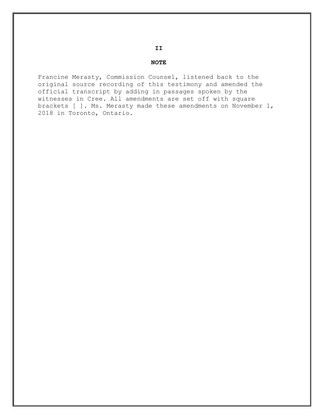#### **NOTE**

**II**

Francine Merasty, Commission Counsel, listened back to the original source recording of this testimony and amended the official transcript by adding in passages spoken by the witnesses in Cree. All amendments are set off with square brackets [ ]. Ms. Merasty made these amendments on November 1, 2018 in Toronto, Ontario.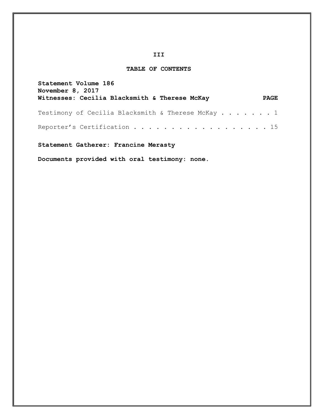## **III**

## **TABLE OF CONTENTS**

| Statement Volume 186<br>November 8, 2017          |             |
|---------------------------------------------------|-------------|
| Witnesses: Cecilia Blacksmith & Therese McKay     | <b>PAGE</b> |
| Testimony of Cecilia Blacksmith & Therese McKay 1 |             |
| Reporter's Certification 15                       |             |

# **Statement Gatherer: Francine Merasty**

**Documents provided with oral testimony: none.**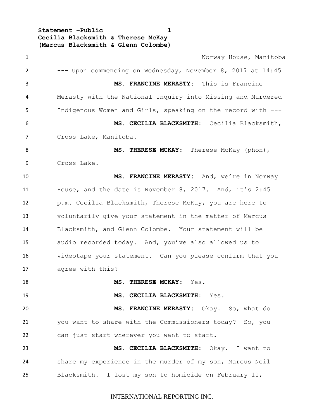**Statement –Public 1 Cecilia Blacksmith & Therese McKay (Marcus Blacksmith & Glenn Colombe)**

1 Norway House, Manitoba --- Upon commencing on Wednesday, November 8, 2017 at 14:45 **MS. FRANCINE MERASTY:** This is Francine Merasty with the National Inquiry into Missing and Murdered Indigenous Women and Girls, speaking on the record with --- **MS. CECILIA BLACKSMITH**: Cecilia Blacksmith, Cross Lake, Manitoba. **MS**. **THERESE MCKAY**: Therese McKay (phon), Cross Lake. **MS. FRANCINE MERASTY:** And, we're in Norway House, and the date is November 8, 2017. And, it's 2:45 p.m. Cecilia Blacksmith, Therese McKay, you are here to voluntarily give your statement in the matter of Marcus Blacksmith, and Glenn Colombe. Your statement will be audio recorded today. And, you've also allowed us to videotape your statement. Can you please confirm that you agree with this? **MS. THERESE MCKAY:** Yes. **MS. CECILIA BLACKSMITH**: Yes. **MS. FRANCINE MERASTY:** Okay. So, what do you want to share with the Commissioners today? So, you can just start wherever you want to start. **MS. CECILIA BLACKSMITH**: Okay. I want to share my experience in the murder of my son, Marcus Neil Blacksmith. I lost my son to homicide on February 11,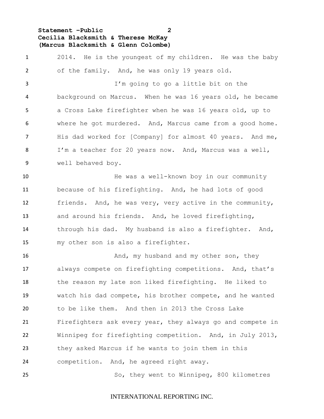**Statement –Public 2 Cecilia Blacksmith & Therese McKay (Marcus Blacksmith & Glenn Colombe)**

 2014. He is the youngest of my children. He was the baby of the family. And, he was only 19 years old.

 I'm going to go a little bit on the background on Marcus. When he was 16 years old, he became a Cross Lake firefighter when he was 16 years old, up to where he got murdered. And, Marcus came from a good home. His dad worked for [Company] for almost 40 years. And me, I'm a teacher for 20 years now. And, Marcus was a well, well behaved boy.

 He was a well-known boy in our community because of his firefighting. And, he had lots of good friends. And, he was very, very active in the community, and around his friends. And, he loved firefighting, through his dad. My husband is also a firefighter. And, my other son is also a firefighter.

16 And, my husband and my other son, they always compete on firefighting competitions. And, that's the reason my late son liked firefighting. He liked to watch his dad compete, his brother compete, and he wanted to be like them. And then in 2013 the Cross Lake Firefighters ask every year, they always go and compete in Winnipeg for firefighting competition. And, in July 2013, they asked Marcus if he wants to join them in this competition. And, he agreed right away.

So, they went to Winnipeg, 800 kilometres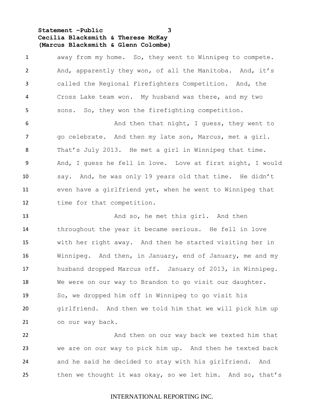**Statement –Public 3 Cecilia Blacksmith & Therese McKay (Marcus Blacksmith & Glenn Colombe)**

 away from my home. So, they went to Winnipeg to compete. And, apparently they won, of all the Manitoba. And, it's called the Regional Firefighters Competition. And, the Cross Lake team won. My husband was there, and my two sons. So, they won the firefighting competition. And then that night, I guess, they went to go celebrate. And then my late son, Marcus, met a girl. That's July 2013. He met a girl in Winnipeg that time. And, I guess he fell in love. Love at first sight, I would say. And, he was only 19 years old that time. He didn't even have a girlfriend yet, when he went to Winnipeg that time for that competition.

13 And so, he met this girl. And then throughout the year it became serious. He fell in love with her right away. And then he started visiting her in Winnipeg. And then, in January, end of January, me and my husband dropped Marcus off. January of 2013, in Winnipeg. We were on our way to Brandon to go visit our daughter. So, we dropped him off in Winnipeg to go visit his girlfriend. And then we told him that we will pick him up on our way back.

 And then on our way back we texted him that we are on our way to pick him up. And then he texted back and he said he decided to stay with his girlfriend. And then we thought it was okay, so we let him. And so, that's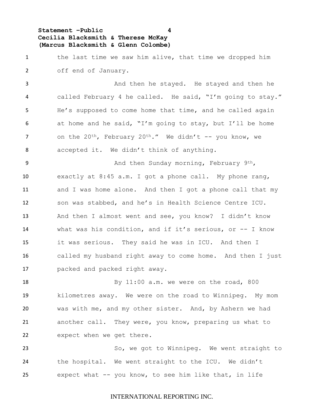**Statement –Public 4 Cecilia Blacksmith & Therese McKay (Marcus Blacksmith & Glenn Colombe)**

1 the last time we saw him alive, that time we dropped him off end of January.

3 And then he stayed. He stayed and then he called February 4 he called. He said, "I'm going to stay." He's supposed to come home that time, and he called again at home and he said, "I'm going to stay, but I'll be home 7 on the  $20^{th}$ , February  $20^{th}$ ." We didn't -- you know, we accepted it. We didn't think of anything.

9 And then Sunday morning, February 9th, exactly at 8:45 a.m. I got a phone call. My phone rang, and I was home alone. And then I got a phone call that my son was stabbed, and he's in Health Science Centre ICU. And then I almost went and see, you know? I didn't know what was his condition, and if it's serious, or -- I know it was serious. They said he was in ICU. And then I called my husband right away to come home. And then I just packed and packed right away.

18 By 11:00 a.m. we were on the road, 800 kilometres away. We were on the road to Winnipeg. My mom was with me, and my other sister. And, by Ashern we had another call. They were, you know, preparing us what to expect when we get there.

23 So, we got to Winnipeg. We went straight to the hospital. We went straight to the ICU. We didn't expect what -- you know, to see him like that, in life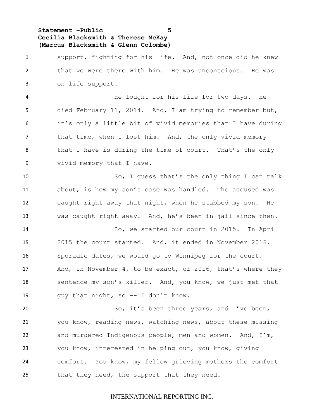**Statement –Public 5 Cecilia Blacksmith & Therese McKay (Marcus Blacksmith & Glenn Colombe)**

 support, fighting for his life. And, not once did he knew that we were there with him. He was unconscious. He was on life support.

 He fought for his life for two days. He died February 11, 2014. And, I am trying to remember but, it's only a little bit of vivid memories that I have during 7 that time, when I lost him. And, the only vivid memory that I have is during the time of court. That's the only vivid memory that I have.

 So, I guess that's the only thing I can talk about, is how my son's case was handled. The accused was caught right away that night, when he stabbed my son. He was caught right away. And, he's been in jail since then.

 So, we started our court in 2015. In April 2015 the court started. And, it ended in November 2016. Sporadic dates, we would go to Winnipeg for the court. 17 And, in November 4, to be exact, of 2016, that's where they sentence my son's killer. And, you know, we just met that 19 guy that night, so -- I don't know.

20 So, it's been three years, and I've been, you know, reading news, watching news, about these missing and murdered Indigenous people, men and women. And, I'm, you know, interested in helping out, you know, giving comfort. You know, my fellow grieving mothers the comfort 25 that they need, the support that they need.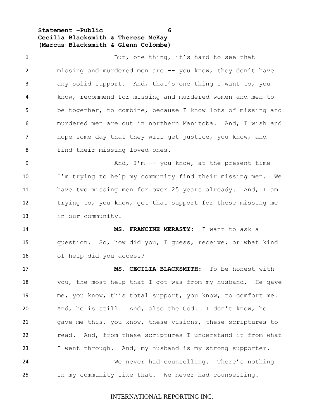**Statement –Public 6 Cecilia Blacksmith & Therese McKay (Marcus Blacksmith & Glenn Colombe)**

1 But, one thing, it's hard to see that missing and murdered men are -- you know, they don't have any solid support. And, that's one thing I want to, you know, recommend for missing and murdered women and men to be together, to combine, because I know lots of missing and murdered men are out in northern Manitoba. And, I wish and hope some day that they will get justice, you know, and 8 find their missing loved ones. 9 And, I'm -- you know, at the present time I'm trying to help my community find their missing men. We have two missing men for over 25 years already. And, I am trying to, you know, get that support for these missing me in our community. **MS. FRANCINE MERASTY:** I want to ask a question. So, how did you, I guess, receive, or what kind of help did you access? **MS. CECILIA BLACKSMITH**: To be honest with you, the most help that I got was from my husband. He gave me, you know, this total support, you know, to comfort me. And, he is still. And, also the God. I don't know, he gave me this, you know, these visions, these scriptures to read. And, from these scriptures I understand it from what I went through. And, my husband is my strong supporter. We never had counselling. There's nothing in my community like that. We never had counselling.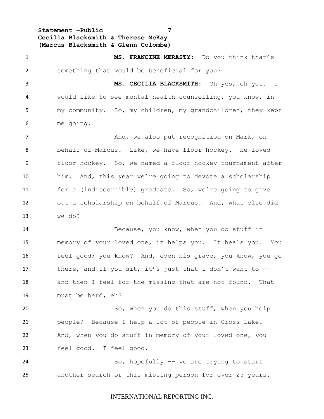**Statement –Public 7 Cecilia Blacksmith & Therese McKay (Marcus Blacksmith & Glenn Colombe)**

 **MS. FRANCINE MERASTY:** Do you think that's something that would be beneficial for you? **MS. CECILIA BLACKSMITH**: Oh yes, oh yes. I would like to see mental health counselling, you know, in my community. So, my children, my grandchildren, they kept me going. 7 and, we also put recognition on Mark, on behalf of Marcus. Like, we have floor hockey. He loved floor hockey. So, we named a floor hockey tournament after him. And, this year we're going to devote a scholarship for a (indiscernible) graduate. So, we're going to give out a scholarship on behalf of Marcus. And, what else did we do? Because, you know, when you do stuff in memory of your loved one, it helps you. It heals you. You feel good; you know? And, even his grave, you know, you go 17 there, and if you sit, it's just that I don't want to -- and then I feel for the missing that are not found. That must be hard, eh? So, when you do this stuff, when you help people? Because I help a lot of people in Cross Lake. And, when you do stuff in memory of your loved one, you feel good. I feel good. So, hopefully -- we are trying to start another search or this missing person for over 25 years.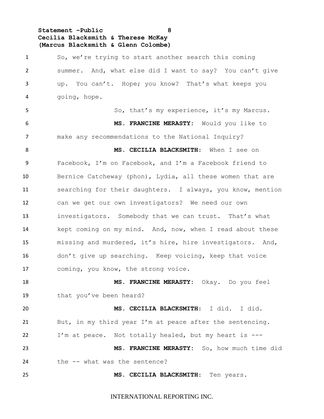**Statement –Public 8 Cecilia Blacksmith & Therese McKay (Marcus Blacksmith & Glenn Colombe)**

 So, we're trying to start another search this coming summer. And, what else did I want to say? You can't give up. You can't. Hope; you know? That's what keeps you going, hope. So, that's my experience, it's my Marcus. **MS. FRANCINE MERASTY:** Would you like to make any recommendations to the National Inquiry? **MS. CECILIA BLACKSMITH**: When I see on Facebook, I'm on Facebook, and I'm a Facebook friend to Bernice Catcheway (phon), Lydia, all these women that are searching for their daughters. I always, you know, mention can we get our own investigators? We need our own investigators. Somebody that we can trust. That's what kept coming on my mind. And, now, when I read about these missing and murdered, it's hire, hire investigators. And, don't give up searching. Keep voicing, keep that voice coming, you know, the strong voice. **MS. FRANCINE MERASTY:** Okay. Do you feel 19 that you've been heard? **MS. CECILIA BLACKSMITH**: I did. I did. But, in my third year I'm at peace after the sentencing. I'm at peace. Not totally healed, but my heart is --- **MS. FRANCINE MERASTY:** So, how much time did 24 the -- what was the sentence? **MS. CECILIA BLACKSMITH**: Ten years.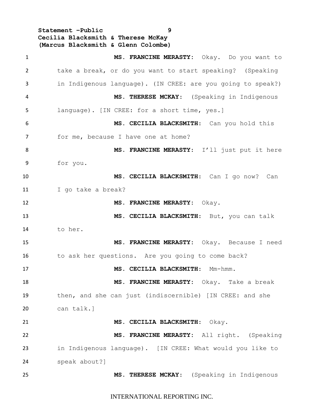**Statement –Public 9 Cecilia Blacksmith & Therese McKay (Marcus Blacksmith & Glenn Colombe)**

 **MS. FRANCINE MERASTY:** Okay. Do you want to take a break, or do you want to start speaking? (Speaking in Indigenous language). (IN CREE: are you going to speak?) **MS. THERESE MCKAY**: (Speaking in Indigenous language). [IN CREE: for a short time, yes.] **MS. CECILIA BLACKSMITH**: Can you hold this 7 for me, because I have one at home? **MS**. **FRANCINE MERASTY**: I'll just put it here for you. **MS**. **CECILIA BLACKSMITH**: Can I go now? Can I go take a break? **MS. FRANCINE MERASTY:** Okay. **MS. CECILIA BLACKSMITH**: But, you can talk to her. **MS. FRANCINE MERASTY:** Okay. Because I need 16 to ask her questions. Are you going to come back? **MS. CECILIA BLACKSMITH**: Mm-hmm. **MS. FRANCINE MERASTY:** Okay. Take a break then, and she can just (indiscernible) [IN CREE: and she can talk.] **MS. CECILIA BLACKSMITH**: Okay. **MS. FRANCINE MERASTY:** All right. (Speaking in Indigenous language). [IN CREE: What would you like to speak about?] **MS. THERESE MCKAY**: (Speaking in Indigenous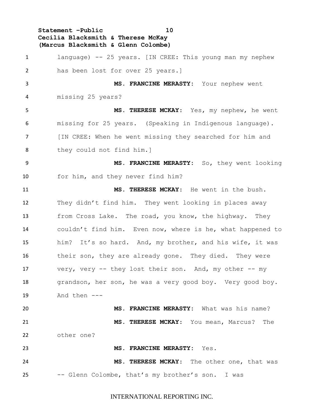**Statement –Public 10 Cecilia Blacksmith & Therese McKay (Marcus Blacksmith & Glenn Colombe)**

 language) -- 25 years. [IN CREE: This young man my nephew has been lost for over 25 years.] **MS. FRANCINE MERASTY:** Your nephew went missing 25 years? **MS. THERESE MCKAY**: Yes, my nephew, he went missing for 25 years. (Speaking in Indigenous language). [IN CREE: When he went missing they searched for him and they could not find him.] **MS. FRANCINE MERASTY:** So, they went looking for him, and they never find him? **MS. THERESE MCKAY**: He went in the bush. They didn't find him. They went looking in places away from Cross Lake. The road, you know, the highway. They couldn't find him. Even now, where is he, what happened to him? It's so hard. And, my brother, and his wife, it was 16 their son, they are already gone. They died. They were very, very -- they lost their son. And, my other -- my 18 grandson, her son, he was a very good boy. Very good boy. And then --- **MS. FRANCINE MERASTY:** What was his name? **MS. THERESE MCKAY**: You mean, Marcus? The other one? **MS. FRANCINE MERASTY:** Yes. **MS. THERESE MCKAY**: The other one, that was -- Glenn Colombe, that's my brother's son. I was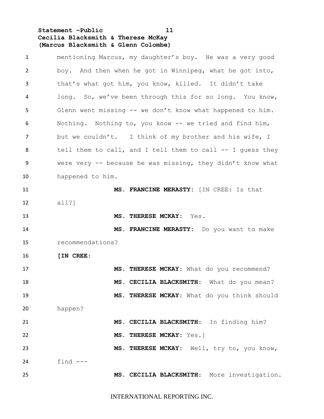**Statement –Public 11 Cecilia Blacksmith & Therese McKay (Marcus Blacksmith & Glenn Colombe)**

| $\mathbf{1}$ | mentioning Marcus, my daughter's boy. He was a very good    |
|--------------|-------------------------------------------------------------|
| 2            | boy. And then when he got in Winnipeg, what he got into,    |
| 3            | that's what got him, you know, killed. It didn't take       |
| 4            | long. So, we've been through this for so long. You know,    |
| 5            | Glenn went missing -- we don't know what happened to him.   |
| 6            | Nothing. Nothing to, you know $-$ we tried and find him,    |
| 7            | but we couldn't. I think of my brother and his wife, I      |
| 8            | tell them to call, and I tell them to call $-$ I quess they |
| 9            | were very $-$ because he was missing, they didn't know what |
| 10           | happened to him.                                            |
| 11           | MS. FRANCINE MERASTY: [IN CREE: Is that                     |
| 12           | all?                                                        |
| 13           | MS. THERESE MCKAY: Yes.                                     |
| 14           | MS. FRANCINE MERASTY: Do you want to make                   |
| 15           | recommendations?                                            |
| 16           | [IN CREE:                                                   |
| 17           | MS. THERESE MCKAY: What do you recommend?                   |
| 18           | MS. CECILIA BLACKSMITH: What do you mean?                   |
| 19           | MS. THERESE MCKAY: What do you think should                 |
| 20           | happen?                                                     |
| 21           | MS. CECILIA BLACKSMITH: In finding him?                     |
| 22           | MS. THERESE MCKAY: Yes.]                                    |
| 23           | MS. THERESE MCKAY: Well, try to, you know,                  |
| 24           | find $---$                                                  |
| 25           | MS. CECILIA BLACKSMITH: More investigation.                 |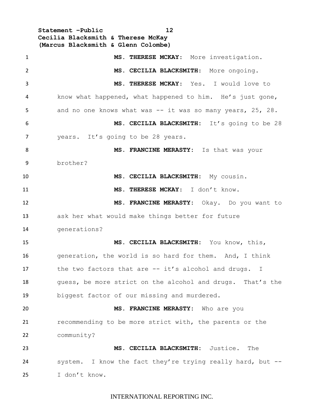**Statement –Public 12 Cecilia Blacksmith & Therese McKay (Marcus Blacksmith & Glenn Colombe) MS. THERESE MCKAY**: More investigation. **MS**. **CECILIA BLACKSMITH**: More ongoing. **MS. THERESE MCKAY**: Yes. I would love to know what happened, what happened to him. He's just gone, 5 and no one knows what was -- it was so many years, 25, 28. **MS. CECILIA BLACKSMITH:** It's going to be 28 7 years. It's going to be 28 years. **MS. FRANCINE MERASTY:** Is that was your brother? **MS. CECILIA BLACKSMITH:** My cousin. **MS. THERESE MCKAY**: I don't know. **MS. FRANCINE MERASTY:** Okay. Do you want to ask her what would make things better for future generations? **MS. CECILIA BLACKSMITH:** You know, this, generation, the world is so hard for them. And, I think 17 the two factors that are -- it's alcohol and drugs. I 18 guess, be more strict on the alcohol and drugs. That's the biggest factor of our missing and murdered. **MS. FRANCINE MERASTY:** Who are you recommending to be more strict with, the parents or the community? **MS. CECILIA BLACKSMITH:** Justice. The system. I know the fact they're trying really hard, but -- I don't know.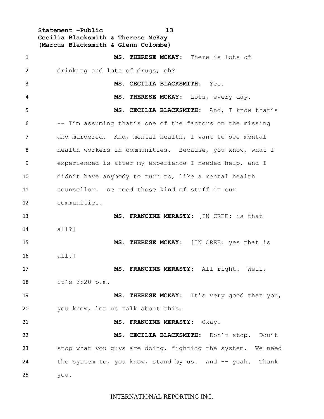**Statement –Public 13 Cecilia Blacksmith & Therese McKay (Marcus Blacksmith & Glenn Colombe)**

| $\mathbf{1}$ | MS. THERESE MCKAY: There is lots of                        |
|--------------|------------------------------------------------------------|
| 2            | drinking and lots of drugs; eh?                            |
| 3            | MS. CECILIA BLACKSMITH: Yes.                               |
| 4            | MS. THERESE MCKAY: Lots, every day.                        |
| 5            | MS. CECILIA BLACKSMITH: And, I know that's                 |
| 6            | -- I'm assuming that's one of the factors on the missing   |
| 7            | and murdered. And, mental health, I want to see mental     |
| 8            | health workers in communities. Because, you know, what I   |
| 9            | experienced is after my experience I needed help, and I    |
| 10           | didn't have anybody to turn to, like a mental health       |
| 11           | counsellor. We need those kind of stuff in our             |
| 12           | communities.                                               |
| 13           | MS. FRANCINE MERASTY: [IN CREE: is that                    |
| 14           | all?                                                       |
| 15           | MS. THERESE MCKAY: [IN CREE: yes that is                   |
| 16           | all.]                                                      |
| 17           | MS. FRANCINE MERASTY: All right. Well,                     |
| 18           | it's 3:20 p.m.                                             |
| 19           | MS. THERESE MCKAY: It's very good that you,                |
| 20           | you know, let us talk about this.                          |
| 21           | MS. FRANCINE MERASTY: Okay.                                |
| 22           | MS. CECILIA BLACKSMITH: Don't stop. Don't                  |
| 23           | stop what you guys are doing, fighting the system. We need |
| 24           | the system to, you know, stand by us. And -- yeah. Thank   |
| 25           | you.                                                       |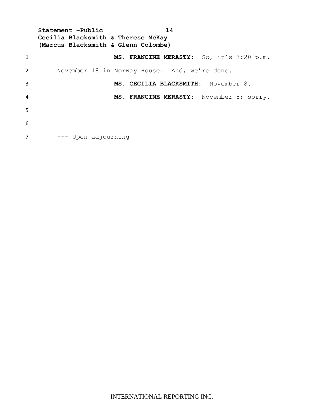**Statement –Public 14 Cecilia Blacksmith & Therese McKay (Marcus Blacksmith & Glenn Colombe) MS. FRANCINE MERASTY:** So, it's 3:20 p.m. November 18 in Norway House. And, we're done. **MS. CECILIA BLACKSMITH:** November 8. **MS. FRANCINE MERASTY:** November 8; sorry. --- Upon adjourning